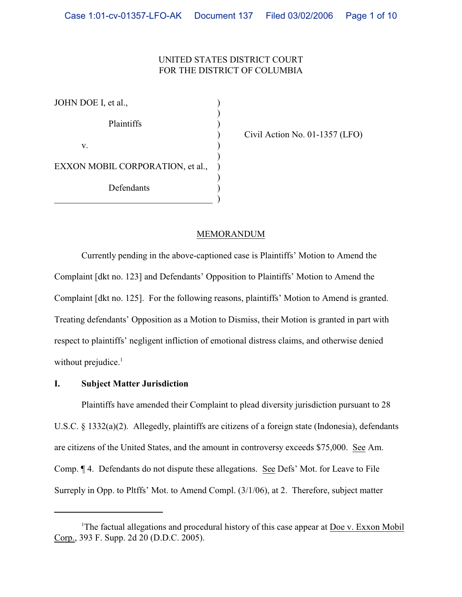# UNITED STATES DISTRICT COURT FOR THE DISTRICT OF COLUMBIA

| JOHN DOE I, et al.,              |  |
|----------------------------------|--|
| Plaintiffs                       |  |
| V.                               |  |
| EXXON MOBIL CORPORATION, et al., |  |
| Defendants                       |  |

) Civil Action No. 01-1357 (LFO)

## MEMORANDUM

Currently pending in the above-captioned case is Plaintiffs' Motion to Amend the Complaint [dkt no. 123] and Defendants' Opposition to Plaintiffs' Motion to Amend the Complaint [dkt no. 125]. For the following reasons, plaintiffs' Motion to Amend is granted. Treating defendants' Opposition as a Motion to Dismiss, their Motion is granted in part with respect to plaintiffs' negligent infliction of emotional distress claims, and otherwise denied without prejudice. $<sup>1</sup>$ </sup>

#### **I. Subject Matter Jurisdiction**

Plaintiffs have amended their Complaint to plead diversity jurisdiction pursuant to 28 U.S.C. § 1332(a)(2). Allegedly, plaintiffs are citizens of a foreign state (Indonesia), defendants are citizens of the United States, and the amount in controversy exceeds \$75,000. See Am. Comp. ¶ 4. Defendants do not dispute these allegations. See Defs' Mot. for Leave to File Surreply in Opp. to Pltffs' Mot. to Amend Compl. (3/1/06), at 2. Therefore, subject matter

<sup>&</sup>lt;sup>1</sup>The factual allegations and procedural history of this case appear at Doe v. Exxon Mobil Corp., 393 F. Supp. 2d 20 (D.D.C. 2005).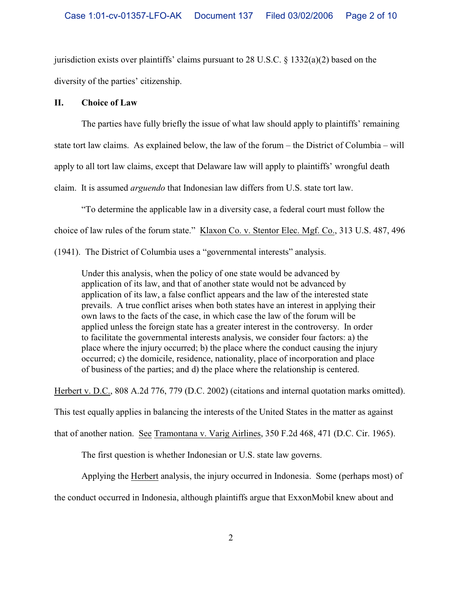jurisdiction exists over plaintiffs' claims pursuant to 28 U.S.C. § 1332(a)(2) based on the diversity of the parties' citizenship.

## **II. Choice of Law**

The parties have fully briefly the issue of what law should apply to plaintiffs' remaining state tort law claims. As explained below, the law of the forum – the District of Columbia – will apply to all tort law claims, except that Delaware law will apply to plaintiffs' wrongful death claim. It is assumed *arguendo* that Indonesian law differs from U.S. state tort law.

"To determine the applicable law in a diversity case, a federal court must follow the

choice of law rules of the forum state." Klaxon Co. v. Stentor Elec. Mgf. Co., 313 U.S. 487, 496

(1941). The District of Columbia uses a "governmental interests" analysis.

Under this analysis, when the policy of one state would be advanced by application of its law, and that of another state would not be advanced by application of its law, a false conflict appears and the law of the interested state prevails. A true conflict arises when both states have an interest in applying their own laws to the facts of the case, in which case the law of the forum will be applied unless the foreign state has a greater interest in the controversy. In order to facilitate the governmental interests analysis, we consider four factors: a) the place where the injury occurred; b) the place where the conduct causing the injury occurred; c) the domicile, residence, nationality, place of incorporation and place of business of the parties; and d) the place where the relationship is centered.

Herbert v. D.C., 808 A.2d 776, 779 (D.C. 2002) (citations and internal quotation marks omitted).

This test equally applies in balancing the interests of the United States in the matter as against

that of another nation. See Tramontana v. Varig Airlines, 350 F.2d 468, 471 (D.C. Cir. 1965).

The first question is whether Indonesian or U.S. state law governs.

Applying the Herbert analysis, the injury occurred in Indonesia. Some (perhaps most) of

the conduct occurred in Indonesia, although plaintiffs argue that ExxonMobil knew about and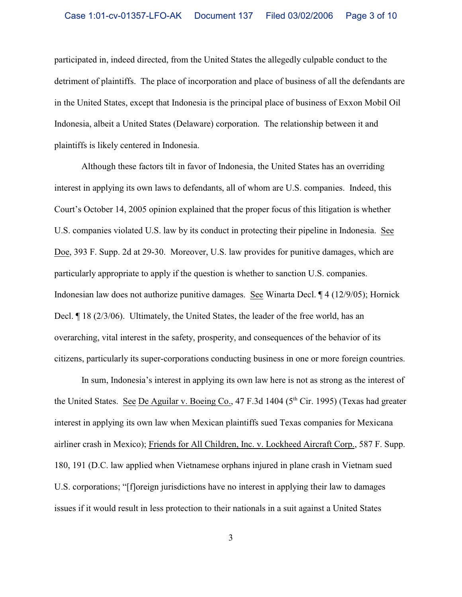participated in, indeed directed, from the United States the allegedly culpable conduct to the detriment of plaintiffs. The place of incorporation and place of business of all the defendants are in the United States, except that Indonesia is the principal place of business of Exxon Mobil Oil Indonesia, albeit a United States (Delaware) corporation. The relationship between it and plaintiffs is likely centered in Indonesia.

Although these factors tilt in favor of Indonesia, the United States has an overriding interest in applying its own laws to defendants, all of whom are U.S. companies. Indeed, this Court's October 14, 2005 opinion explained that the proper focus of this litigation is whether U.S. companies violated U.S. law by its conduct in protecting their pipeline in Indonesia. See Doe, 393 F. Supp. 2d at 29-30. Moreover, U.S. law provides for punitive damages, which are particularly appropriate to apply if the question is whether to sanction U.S. companies. Indonesian law does not authorize punitive damages. See Winarta Decl. ¶ 4 (12/9/05); Hornick Decl. ¶ 18 (2/3/06). Ultimately, the United States, the leader of the free world, has an overarching, vital interest in the safety, prosperity, and consequences of the behavior of its citizens, particularly its super-corporations conducting business in one or more foreign countries.

 In sum, Indonesia's interest in applying its own law here is not as strong as the interest of the United States. See De Aguilar v. Boeing Co.,  $47$  F.3d  $1404$  ( $5<sup>th</sup>$  Cir. 1995) (Texas had greater interest in applying its own law when Mexican plaintiffs sued Texas companies for Mexicana airliner crash in Mexico); Friends for All Children, Inc. v. Lockheed Aircraft Corp., 587 F. Supp. 180, 191 (D.C. law applied when Vietnamese orphans injured in plane crash in Vietnam sued U.S. corporations; "[f]oreign jurisdictions have no interest in applying their law to damages issues if it would result in less protection to their nationals in a suit against a United States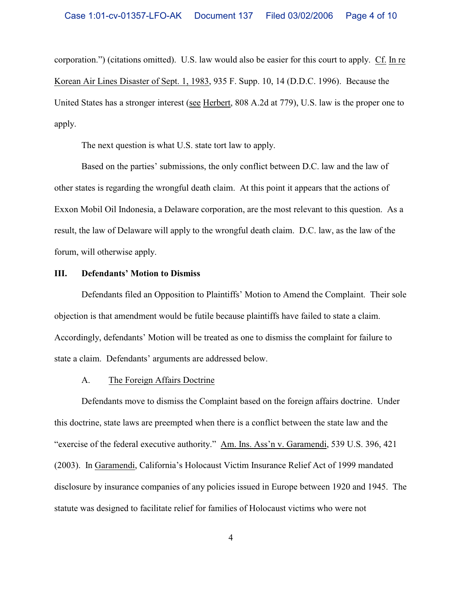corporation.") (citations omitted). U.S. law would also be easier for this court to apply. Cf. In re Korean Air Lines Disaster of Sept. 1, 1983, 935 F. Supp. 10, 14 (D.D.C. 1996). Because the United States has a stronger interest (see Herbert, 808 A.2d at 779), U.S. law is the proper one to apply.

The next question is what U.S. state tort law to apply.

Based on the parties' submissions, the only conflict between D.C. law and the law of other states is regarding the wrongful death claim. At this point it appears that the actions of Exxon Mobil Oil Indonesia, a Delaware corporation, are the most relevant to this question. As a result, the law of Delaware will apply to the wrongful death claim. D.C. law, as the law of the forum, will otherwise apply.

## **III. Defendants' Motion to Dismiss**

Defendants filed an Opposition to Plaintiffs' Motion to Amend the Complaint. Their sole objection is that amendment would be futile because plaintiffs have failed to state a claim. Accordingly, defendants' Motion will be treated as one to dismiss the complaint for failure to state a claim. Defendants' arguments are addressed below.

#### A. The Foreign Affairs Doctrine

Defendants move to dismiss the Complaint based on the foreign affairs doctrine. Under this doctrine, state laws are preempted when there is a conflict between the state law and the "exercise of the federal executive authority." Am. Ins. Ass'n v. Garamendi, 539 U.S. 396, 421 (2003). In Garamendi, California's Holocaust Victim Insurance Relief Act of 1999 mandated disclosure by insurance companies of any policies issued in Europe between 1920 and 1945. The statute was designed to facilitate relief for families of Holocaust victims who were not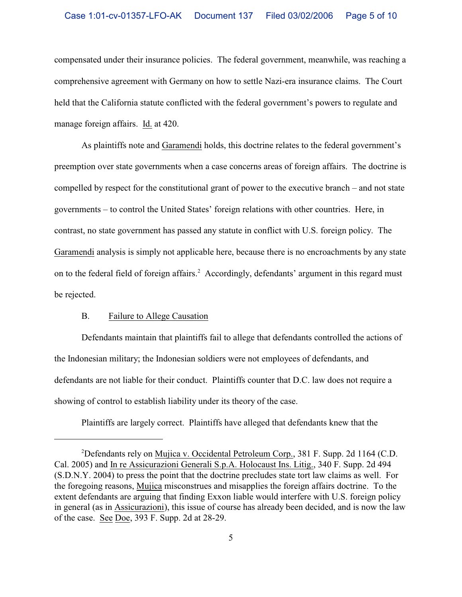compensated under their insurance policies. The federal government, meanwhile, was reaching a comprehensive agreement with Germany on how to settle Nazi-era insurance claims. The Court held that the California statute conflicted with the federal government's powers to regulate and manage foreign affairs. Id. at 420.

As plaintiffs note and Garamendi holds, this doctrine relates to the federal government's preemption over state governments when a case concerns areas of foreign affairs. The doctrine is compelled by respect for the constitutional grant of power to the executive branch – and not state governments – to control the United States' foreign relations with other countries. Here, in contrast, no state government has passed any statute in conflict with U.S. foreign policy. The Garamendi analysis is simply not applicable here, because there is no encroachments by any state on to the federal field of foreign affairs.<sup>2</sup> Accordingly, defendants' argument in this regard must be rejected.

# B. Failure to Allege Causation

Defendants maintain that plaintiffs fail to allege that defendants controlled the actions of the Indonesian military; the Indonesian soldiers were not employees of defendants, and defendants are not liable for their conduct. Plaintiffs counter that D.C. law does not require a showing of control to establish liability under its theory of the case.

Plaintiffs are largely correct. Plaintiffs have alleged that defendants knew that the

<sup>&</sup>lt;sup>2</sup>Defendants rely on Mujica v. Occidental Petroleum Corp., 381 F. Supp. 2d 1164 (C.D. Cal. 2005) and In re Assicurazioni Generali S.p.A. Holocaust Ins. Litig., 340 F. Supp. 2d 494 (S.D.N.Y. 2004) to press the point that the doctrine precludes state tort law claims as well. For the foregoing reasons, Mujica misconstrues and misapplies the foreign affairs doctrine. To the extent defendants are arguing that finding Exxon liable would interfere with U.S. foreign policy in general (as in Assicurazioni), this issue of course has already been decided, and is now the law of the case. See Doe, 393 F. Supp. 2d at 28-29.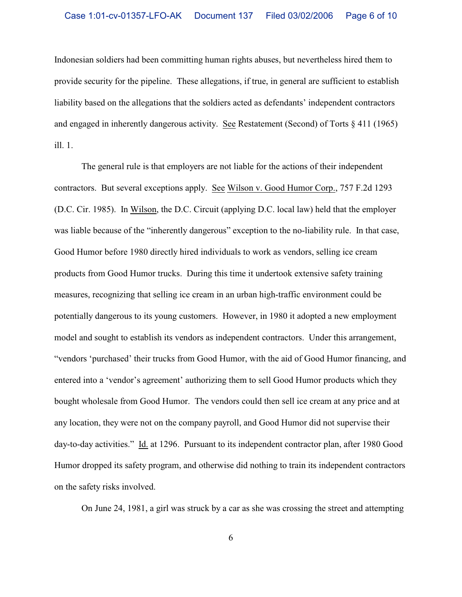Indonesian soldiers had been committing human rights abuses, but nevertheless hired them to provide security for the pipeline. These allegations, if true, in general are sufficient to establish liability based on the allegations that the soldiers acted as defendants' independent contractors and engaged in inherently dangerous activity. See Restatement (Second) of Torts § 411 (1965) ill. 1.

The general rule is that employers are not liable for the actions of their independent contractors. But several exceptions apply. See Wilson v. Good Humor Corp., 757 F.2d 1293 (D.C. Cir. 1985). In Wilson, the D.C. Circuit (applying D.C. local law) held that the employer was liable because of the "inherently dangerous" exception to the no-liability rule. In that case, Good Humor before 1980 directly hired individuals to work as vendors, selling ice cream products from Good Humor trucks. During this time it undertook extensive safety training measures, recognizing that selling ice cream in an urban high-traffic environment could be potentially dangerous to its young customers. However, in 1980 it adopted a new employment model and sought to establish its vendors as independent contractors. Under this arrangement, "vendors 'purchased' their trucks from Good Humor, with the aid of Good Humor financing, and entered into a 'vendor's agreement' authorizing them to sell Good Humor products which they bought wholesale from Good Humor. The vendors could then sell ice cream at any price and at any location, they were not on the company payroll, and Good Humor did not supervise their day-to-day activities." Id. at 1296. Pursuant to its independent contractor plan, after 1980 Good Humor dropped its safety program, and otherwise did nothing to train its independent contractors on the safety risks involved.

On June 24, 1981, a girl was struck by a car as she was crossing the street and attempting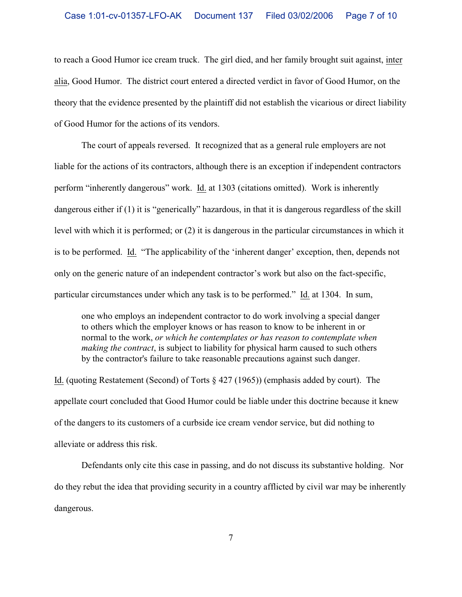to reach a Good Humor ice cream truck. The girl died, and her family brought suit against, inter alia, Good Humor. The district court entered a directed verdict in favor of Good Humor, on the theory that the evidence presented by the plaintiff did not establish the vicarious or direct liability of Good Humor for the actions of its vendors.

The court of appeals reversed. It recognized that as a general rule employers are not liable for the actions of its contractors, although there is an exception if independent contractors perform "inherently dangerous" work. Id. at 1303 (citations omitted). Work is inherently dangerous either if (1) it is "generically" hazardous, in that it is dangerous regardless of the skill level with which it is performed; or (2) it is dangerous in the particular circumstances in which it is to be performed. Id. "The applicability of the 'inherent danger' exception, then, depends not only on the generic nature of an independent contractor's work but also on the fact-specific, particular circumstances under which any task is to be performed." Id. at 1304. In sum,

one who employs an independent contractor to do work involving a special danger to others which the employer knows or has reason to know to be inherent in or normal to the work, *or which he contemplates or has reason to contemplate when making the contract*, is subject to liability for physical harm caused to such others by the contractor's failure to take reasonable precautions against such danger.

Id. (quoting Restatement (Second) of Torts § 427 (1965)) (emphasis added by court). The appellate court concluded that Good Humor could be liable under this doctrine because it knew of the dangers to its customers of a curbside ice cream vendor service, but did nothing to alleviate or address this risk.

Defendants only cite this case in passing, and do not discuss its substantive holding. Nor do they rebut the idea that providing security in a country afflicted by civil war may be inherently dangerous.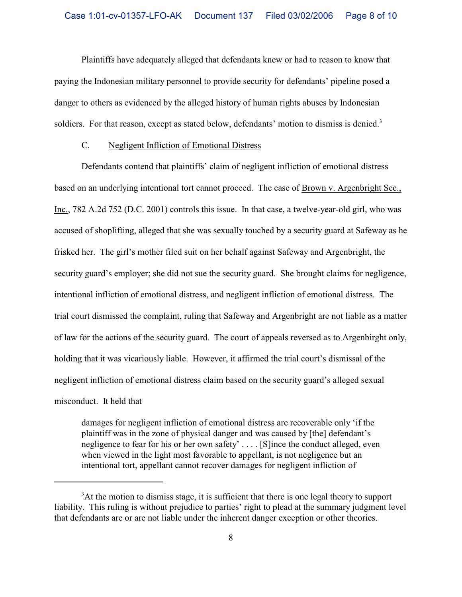Plaintiffs have adequately alleged that defendants knew or had to reason to know that paying the Indonesian military personnel to provide security for defendants' pipeline posed a danger to others as evidenced by the alleged history of human rights abuses by Indonesian soldiers. For that reason, except as stated below, defendants' motion to dismiss is denied.<sup>3</sup>

### C. Negligent Infliction of Emotional Distress

Defendants contend that plaintiffs' claim of negligent infliction of emotional distress based on an underlying intentional tort cannot proceed. The case of Brown v. Argenbright Sec., Inc., 782 A.2d 752 (D.C. 2001) controls this issue. In that case, a twelve-year-old girl, who was accused of shoplifting, alleged that she was sexually touched by a security guard at Safeway as he frisked her. The girl's mother filed suit on her behalf against Safeway and Argenbright, the security guard's employer; she did not sue the security guard. She brought claims for negligence, intentional infliction of emotional distress, and negligent infliction of emotional distress. The trial court dismissed the complaint, ruling that Safeway and Argenbright are not liable as a matter of law for the actions of the security guard. The court of appeals reversed as to Argenbirght only, holding that it was vicariously liable. However, it affirmed the trial court's dismissal of the negligent infliction of emotional distress claim based on the security guard's alleged sexual misconduct. It held that

damages for negligent infliction of emotional distress are recoverable only 'if the plaintiff was in the zone of physical danger and was caused by [the] defendant's negligence to fear for his or her own safety' . . . . [S]ince the conduct alleged, even when viewed in the light most favorable to appellant, is not negligence but an intentional tort, appellant cannot recover damages for negligent infliction of

 ${}^{3}$ At the motion to dismiss stage, it is sufficient that there is one legal theory to support liability. This ruling is without prejudice to parties' right to plead at the summary judgment level that defendants are or are not liable under the inherent danger exception or other theories.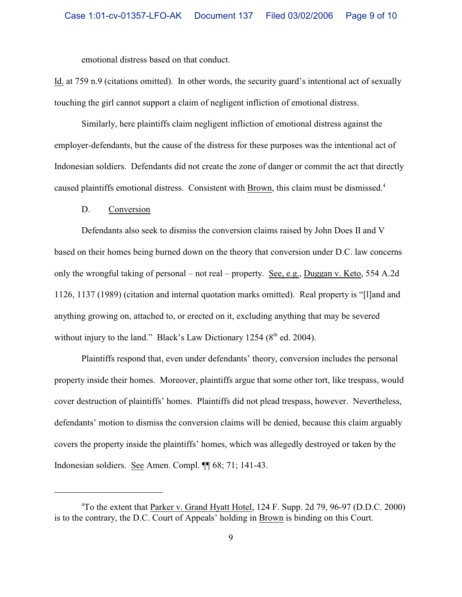emotional distress based on that conduct.

Id. at 759 n.9 (citations omitted). In other words, the security guard's intentional act of sexually touching the girl cannot support a claim of negligent infliction of emotional distress.

Similarly, here plaintiffs claim negligent infliction of emotional distress against the employer-defendants, but the cause of the distress for these purposes was the intentional act of Indonesian soldiers. Defendants did not create the zone of danger or commit the act that directly caused plaintiffs emotional distress. Consistent with Brown, this claim must be dismissed.<sup>4</sup>

#### D. Conversion

Defendants also seek to dismiss the conversion claims raised by John Does II and V based on their homes being burned down on the theory that conversion under D.C. law concerns only the wrongful taking of personal – not real – property. See, e.g., Duggan v. Keto, 554 A.2d 1126, 1137 (1989) (citation and internal quotation marks omitted). Real property is "[l]and and anything growing on, attached to, or erected on it, excluding anything that may be severed without injury to the land." Black's Law Dictionary 1254 ( $8<sup>th</sup>$  ed. 2004).

Plaintiffs respond that, even under defendants' theory, conversion includes the personal property inside their homes. Moreover, plaintiffs argue that some other tort, like trespass, would cover destruction of plaintiffs' homes. Plaintiffs did not plead trespass, however. Nevertheless, defendants' motion to dismiss the conversion claims will be denied, because this claim arguably covers the property inside the plaintiffs' homes, which was allegedly destroyed or taken by the Indonesian soldiers. See Amen. Compl. ¶¶ 68; 71; 141-43.

 $\rm{^{4}To}$  the extent that Parker v. Grand Hyatt Hotel, 124 F. Supp. 2d 79, 96-97 (D.D.C. 2000) is to the contrary, the D.C. Court of Appeals' holding in Brown is binding on this Court.